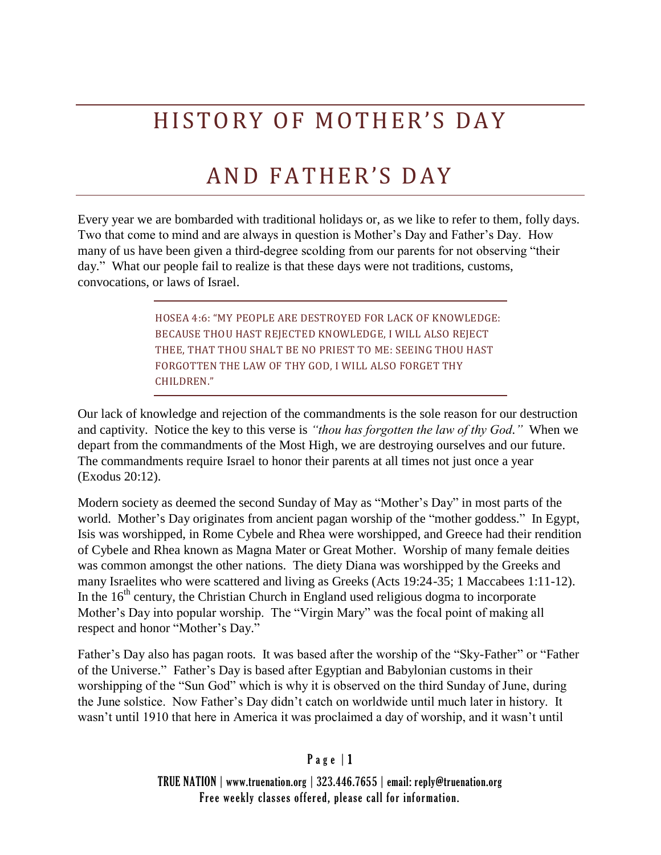# HISTORY OF MOTHER'S DAY

## AND FATHER'S DAY

Every year we are bombarded with traditional holidays or, as we like to refer to them, folly days. Two that come to mind and are always in question is Mother's Day and Father's Day. How many of us have been given a third-degree scolding from our parents for not observing "their day." What our people fail to realize is that these days were not traditions, customs, convocations, or laws of Israel.

> HOSEA 4:6: "MY PEOPLE ARE DESTROYED FOR LACK OF KNOWLEDGE: BECAUSE THOU HAST REJECTED KNOWLEDGE, I WILL ALSO REJECT THEE, THAT THOU SHALT BE NO PRIEST TO ME: SEEING THOU HAST FORGOTTEN THE LAW OF THY GOD, I WILL ALSO FORGET THY CHILDREN."

Our lack of knowledge and rejection of the commandments is the sole reason for our destruction and captivity. Notice the key to this verse is *"thou has forgotten the law of thy God."* When we depart from the commandments of the Most High, we are destroying ourselves and our future. The commandments require Israel to honor their parents at all times not just once a year (Exodus 20:12).

Modern society as deemed the second Sunday of May as "Mother's Day" in most parts of the world. Mother's Day originates from ancient pagan worship of the "mother goddess." In Egypt, Isis was worshipped, in Rome Cybele and Rhea were worshipped, and Greece had their rendition of Cybele and Rhea known as Magna Mater or Great Mother. Worship of many female deities was common amongst the other nations. The diety Diana was worshipped by the Greeks and many Israelites who were scattered and living as Greeks (Acts 19:24-35; 1 Maccabees 1:11-12). In the  $16<sup>th</sup>$  century, the Christian Church in England used religious dogma to incorporate Mother's Day into popular worship. The "Virgin Mary" was the focal point of making all respect and honor "Mother's Day."

Father's Day also has pagan roots. It was based after the worship of the "Sky-Father" or "Father of the Universe." Father's Day is based after Egyptian and Babylonian customs in their worshipping of the "Sun God" which is why it is observed on the third Sunday of June, during the June solstice. Now Father's Day didn't catch on worldwide until much later in history. It wasn't until 1910 that here in America it was proclaimed a day of worship, and it wasn't until

#### $P$  a g e  $|1$

TRUE NATION | www.truenation.org | 323.446.7655 | email: reply@truenation.org Free weekly classes offered, please call for information.